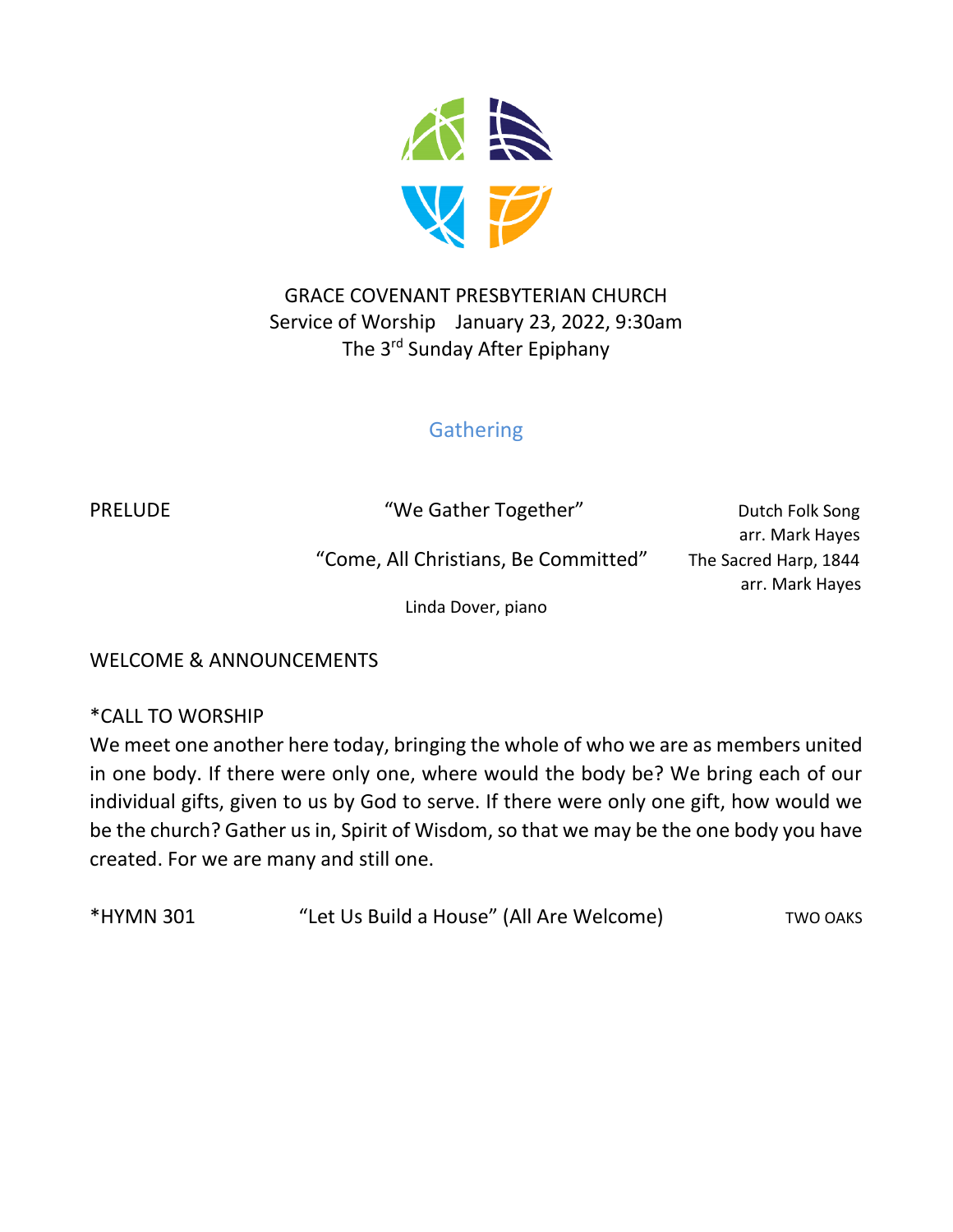

# GRACE COVENANT PRESBYTERIAN CHURCH Service of Worship January 23, 2022, 9:30am The 3<sup>rd</sup> Sunday After Epiphany

# **Gathering**

PRELUDE "We Gather Together" Dutch Folk Song

arr. Mark Hayes arr. Mark Hayes

"Come, All Christians, Be Committed" The Sacred Harp, 1844

Linda Dover, piano

WELCOME & ANNOUNCEMENTS

\*CALL TO WORSHIP

We meet one another here today, bringing the whole of who we are as members united in one body. If there were only one, where would the body be? We bring each of our individual gifts, given to us by God to serve. If there were only one gift, how would we be the church? Gather us in, Spirit of Wisdom, so that we may be the one body you have created. For we are many and still one.

\*HYMN 301 "Let Us Build a House" (All Are Welcome) TWO OAKS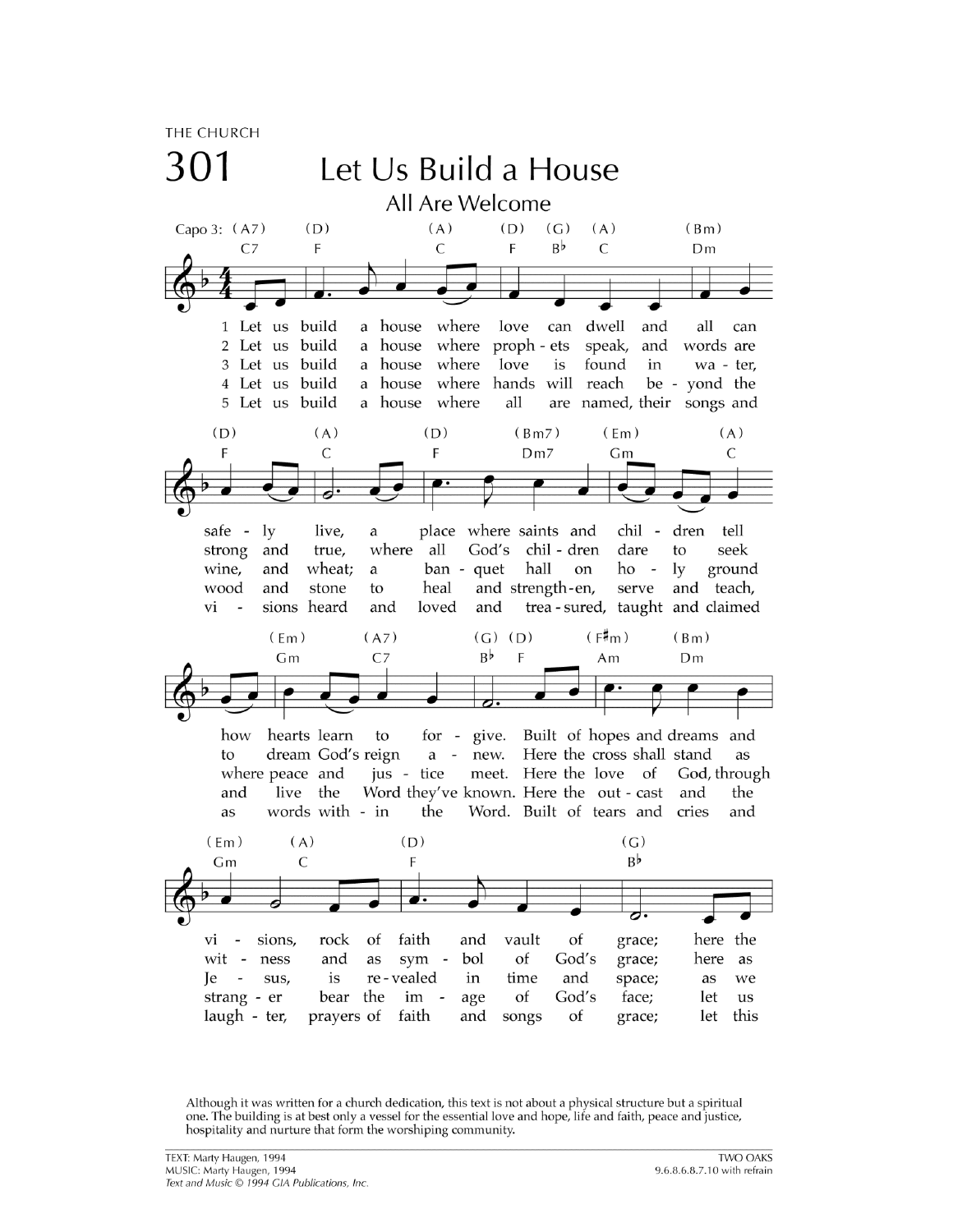THE CHURCH 301 Let Us Build a House All Are Welcome  $(D)$  $(A)$  $(D)$  $(G)$  $(A)$  $(Bm)$ Capo 3: (A7)  $B<sub>b</sub>$  $C<sub>7</sub>$  $\overline{F}$  $\mathsf{C}$ F  $\mathsf{C}$  $Dm$ 1 Let us a house build where love can dwell and all can build house where proph - ets  $\overline{2}$ Let us speak, and words are a where love 3 Let us build a house is found wa - ter, in 4 Let us build a house where hands will reach be - yond the 5 Let us build a house where all are named, their songs and  $(D)$  $(D)$  $(A)$  $(Bm7)$  $E(m)$  $(A)$ F  $DmZ$  $\overline{C}$  $\mathsf{C}$ E Gm place where saints and chil - dren safe ly live,  $\mathfrak{a}$ tell all God's chil - dren and true, where dare to seek strong ground and wheat; ban - quet hall <sub>on</sub> ho  $1y$ wine, a  $\sim$ wood and stone to heal and strength-en, serve and teach. vi sions heard and loved and trea-sured, taught and claimed  $(F\sharp m)$  $(Fm)$  $(A7)$  $(G)$   $(D)$  $(Bm)$  $B<sup>b</sup>$  $Gm$  $C<sub>7</sub>$ F  $Am$  $Dm$ how hearts learn to for - give. Built of hopes and dreams and Here the cross shall stand dream God's reign  $\frac{1}{2}$ new. to  $\mathbf{a}$ as meet. Here the love of where peace and jus - tice God, through and live the Word they've known. Here the out - cast and the words with - in the Word. Built of tears and cries and as  $E(m)$  $(A)$  $(D)$  $(G)$  $B<sub>p</sub>$  $Gm$  $\mathsf{C}$ F 丼 rock faith here the vi sions, of and vault of grace;  $\overline{a}$ and bol of God's wit - ness as sym grace; here as is re-vealed time and space; Je  $\overline{\phantom{a}}$ sus, in as we the of God's face; strang - er bear im age let us

Although it was written for a church dedication, this text is not about a physical structure but a spiritual one. The building is at best only a vessel for the essential love and hope, life and faith, peace and justice, hospitality and nurture that form the worshiping community.

and

songs

of

grace;

laugh - ter,

prayers of

faith

let

this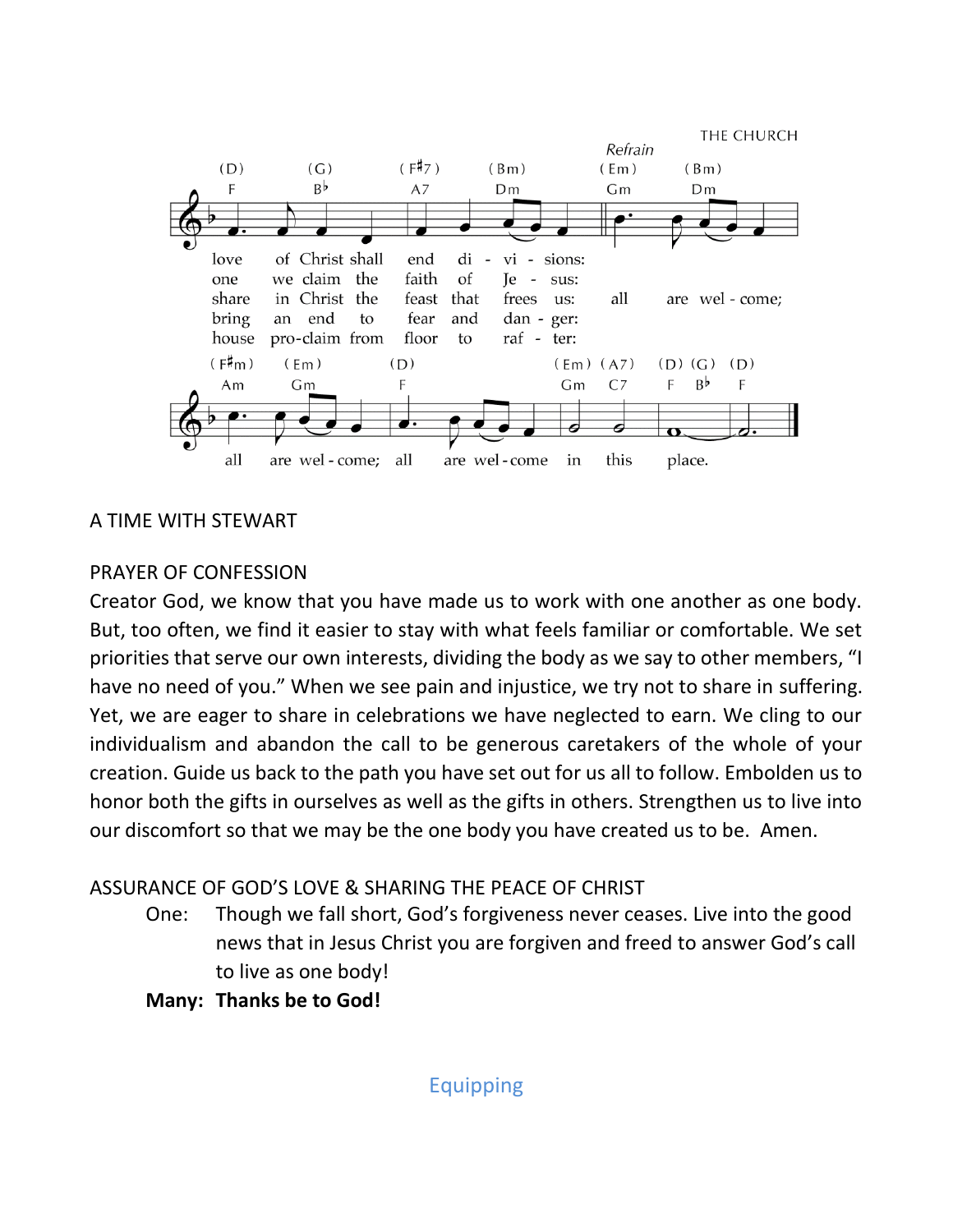

## A TIME WITH STEWART

## PRAYER OF CONFESSION

Creator God, we know that you have made us to work with one another as one body. But, too often, we find it easier to stay with what feels familiar or comfortable. We set priorities that serve our own interests, dividing the body as we say to other members, "I have no need of you." When we see pain and injustice, we try not to share in suffering. Yet, we are eager to share in celebrations we have neglected to earn. We cling to our individualism and abandon the call to be generous caretakers of the whole of your creation. Guide us back to the path you have set out for us all to follow. Embolden us to honor both the gifts in ourselves as well as the gifts in others. Strengthen us to live into our discomfort so that we may be the one body you have created us to be. Amen.

# ASSURANCE OF GOD'S LOVE & SHARING THE PEACE OF CHRIST

- One: Though we fall short, God's forgiveness never ceases. Live into the good news that in Jesus Christ you are forgiven and freed to answer God's call to live as one body!
- **Many: Thanks be to God!**

# Equipping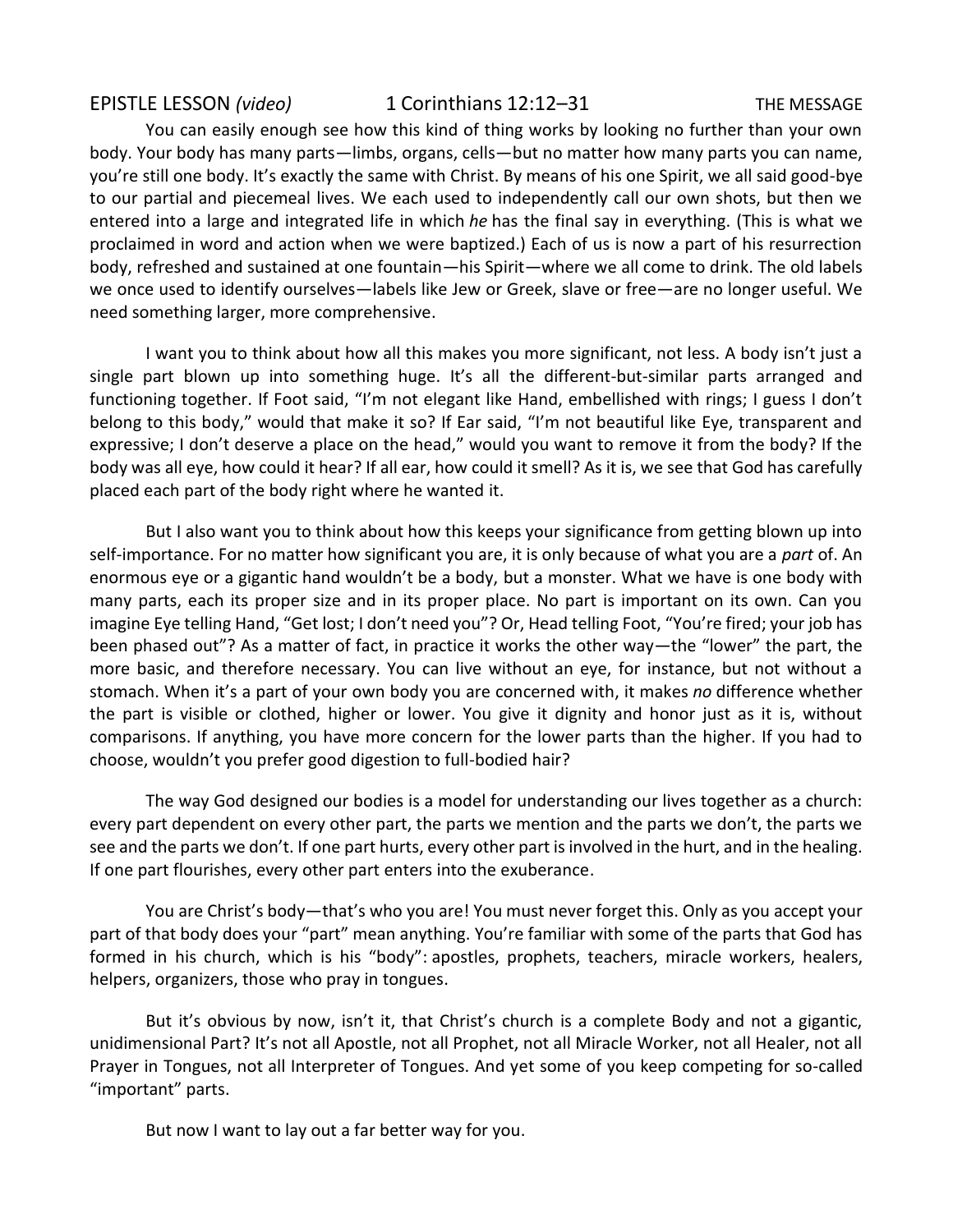#### EPISTLE LESSON *(video)* 1 Corinthians 12:12–31 THE MESSAGE

You can easily enough see how this kind of thing works by looking no further than your own body. Your body has many parts—limbs, organs, cells—but no matter how many parts you can name, you're still one body. It's exactly the same with Christ. By means of his one Spirit, we all said good-bye to our partial and piecemeal lives. We each used to independently call our own shots, but then we entered into a large and integrated life in which *he* has the final say in everything. (This is what we proclaimed in word and action when we were baptized.) Each of us is now a part of his resurrection body, refreshed and sustained at one fountain—his Spirit—where we all come to drink. The old labels we once used to identify ourselves—labels like Jew or Greek, slave or free—are no longer useful. We need something larger, more comprehensive.

I want you to think about how all this makes you more significant, not less. A body isn't just a single part blown up into something huge. It's all the different-but-similar parts arranged and functioning together. If Foot said, "I'm not elegant like Hand, embellished with rings; I guess I don't belong to this body," would that make it so? If Ear said, "I'm not beautiful like Eye, transparent and expressive; I don't deserve a place on the head," would you want to remove it from the body? If the body was all eye, how could it hear? If all ear, how could it smell? As it is, we see that God has carefully placed each part of the body right where he wanted it.

But I also want you to think about how this keeps your significance from getting blown up into self-importance. For no matter how significant you are, it is only because of what you are a *part* of. An enormous eye or a gigantic hand wouldn't be a body, but a monster. What we have is one body with many parts, each its proper size and in its proper place. No part is important on its own. Can you imagine Eye telling Hand, "Get lost; I don't need you"? Or, Head telling Foot, "You're fired; your job has been phased out"? As a matter of fact, in practice it works the other way—the "lower" the part, the more basic, and therefore necessary. You can live without an eye, for instance, but not without a stomach. When it's a part of your own body you are concerned with, it makes *no* difference whether the part is visible or clothed, higher or lower. You give it dignity and honor just as it is, without comparisons. If anything, you have more concern for the lower parts than the higher. If you had to choose, wouldn't you prefer good digestion to full-bodied hair?

The way God designed our bodies is a model for understanding our lives together as a church: every part dependent on every other part, the parts we mention and the parts we don't, the parts we see and the parts we don't. If one part hurts, every other part is involved in the hurt, and in the healing. If one part flourishes, every other part enters into the exuberance.

You are Christ's body—that's who you are! You must never forget this. Only as you accept your part of that body does your "part" mean anything. You're familiar with some of the parts that God has formed in his church, which is his "body": apostles, prophets, teachers, miracle workers, healers, helpers, organizers, those who pray in tongues.

But it's obvious by now, isn't it, that Christ's church is a complete Body and not a gigantic, unidimensional Part? It's not all Apostle, not all Prophet, not all Miracle Worker, not all Healer, not all Prayer in Tongues, not all Interpreter of Tongues. And yet some of you keep competing for so-called "important" parts.

But now I want to lay out a far better way for you.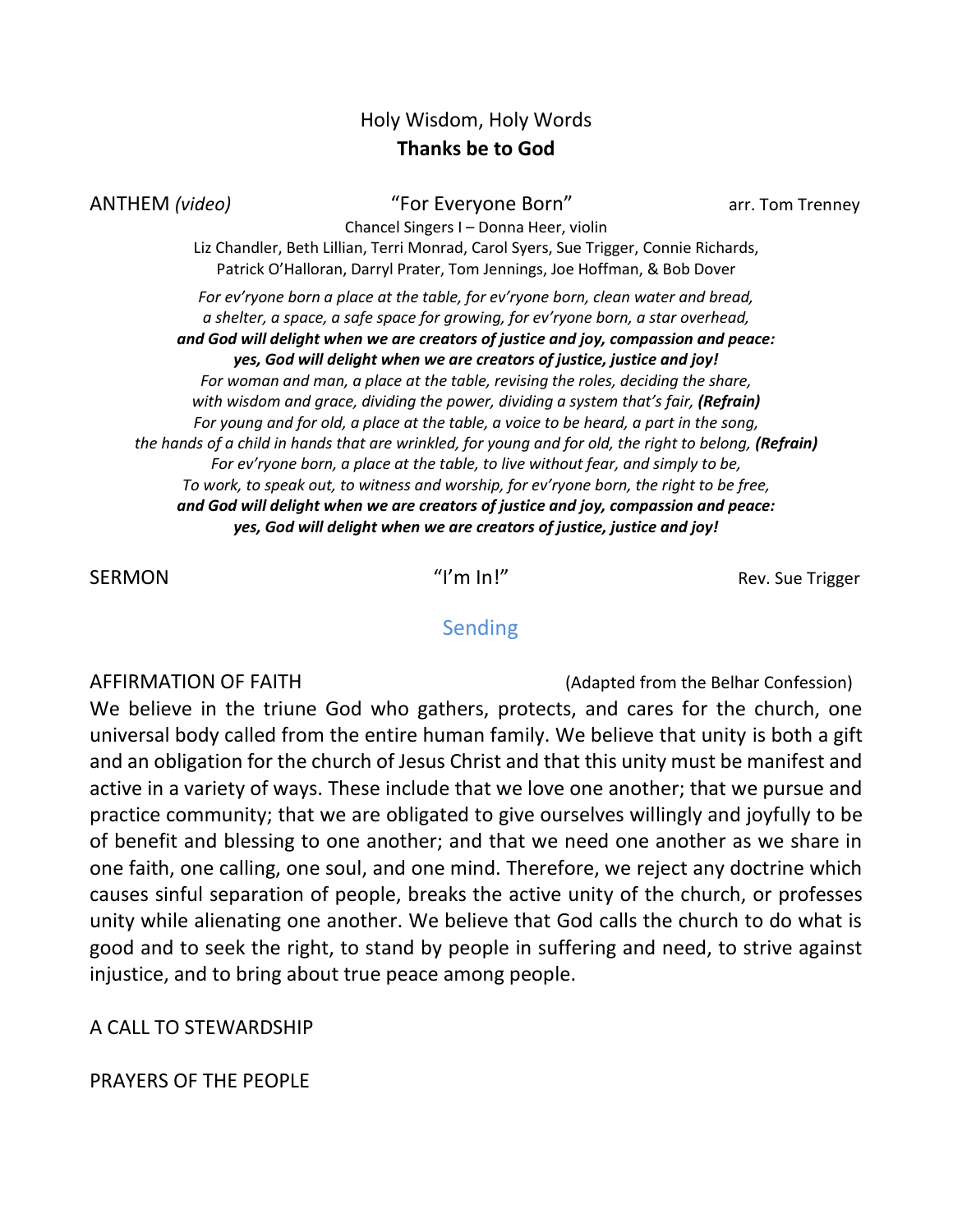# Holy Wisdom, Holy Words **Thanks be to God**

ANTHEM *(video)*  $\qquad$  "For Everyone Born" arr. Tom Trenney

Chancel Singers I – Donna Heer, violin Liz Chandler, Beth Lillian, Terri Monrad, Carol Syers, Sue Trigger, Connie Richards, Patrick O'Halloran, Darryl Prater, Tom Jennings, Joe Hoffman, & Bob Dover

*For ev'ryone born a place at the table, for ev'ryone born, clean water and bread, a shelter, a space, a safe space for growing, for ev'ryone born, a star overhead, and God will delight when we are creators of justice and joy, compassion and peace: yes, God will delight when we are creators of justice, justice and joy! For woman and man, a place at the table, revising the roles, deciding the share, with wisdom and grace, dividing the power, dividing a system that's fair, (Refrain) For young and for old, a place at the table, a voice to be heard, a part in the song, the hands of a child in hands that are wrinkled, for young and for old, the right to belong, (Refrain) For ev'ryone born, a place at the table, to live without fear, and simply to be, To work, to speak out, to witness and worship, for ev'ryone born, the right to be free, and God will delight when we are creators of justice and joy, compassion and peace: yes, God will delight when we are creators of justice, justice and joy!*

SERMON THE "I'm In!" The Rev. Sue Trigger

### Sending

AFFIRMATION OF FAITH (Adapted from the Belhar Confession)

We believe in the triune God who gathers, protects, and cares for the church, one universal body called from the entire human family. We believe that unity is both a gift and an obligation for the church of Jesus Christ and that this unity must be manifest and active in a variety of ways. These include that we love one another; that we pursue and practice community; that we are obligated to give ourselves willingly and joyfully to be of benefit and blessing to one another; and that we need one another as we share in one faith, one calling, one soul, and one mind. Therefore, we reject any doctrine which causes sinful separation of people, breaks the active unity of the church, or professes unity while alienating one another. We believe that God calls the church to do what is good and to seek the right, to stand by people in suffering and need, to strive against injustice, and to bring about true peace among people.

A CALL TO STEWARDSHIP

PRAYERS OF THE PEOPLE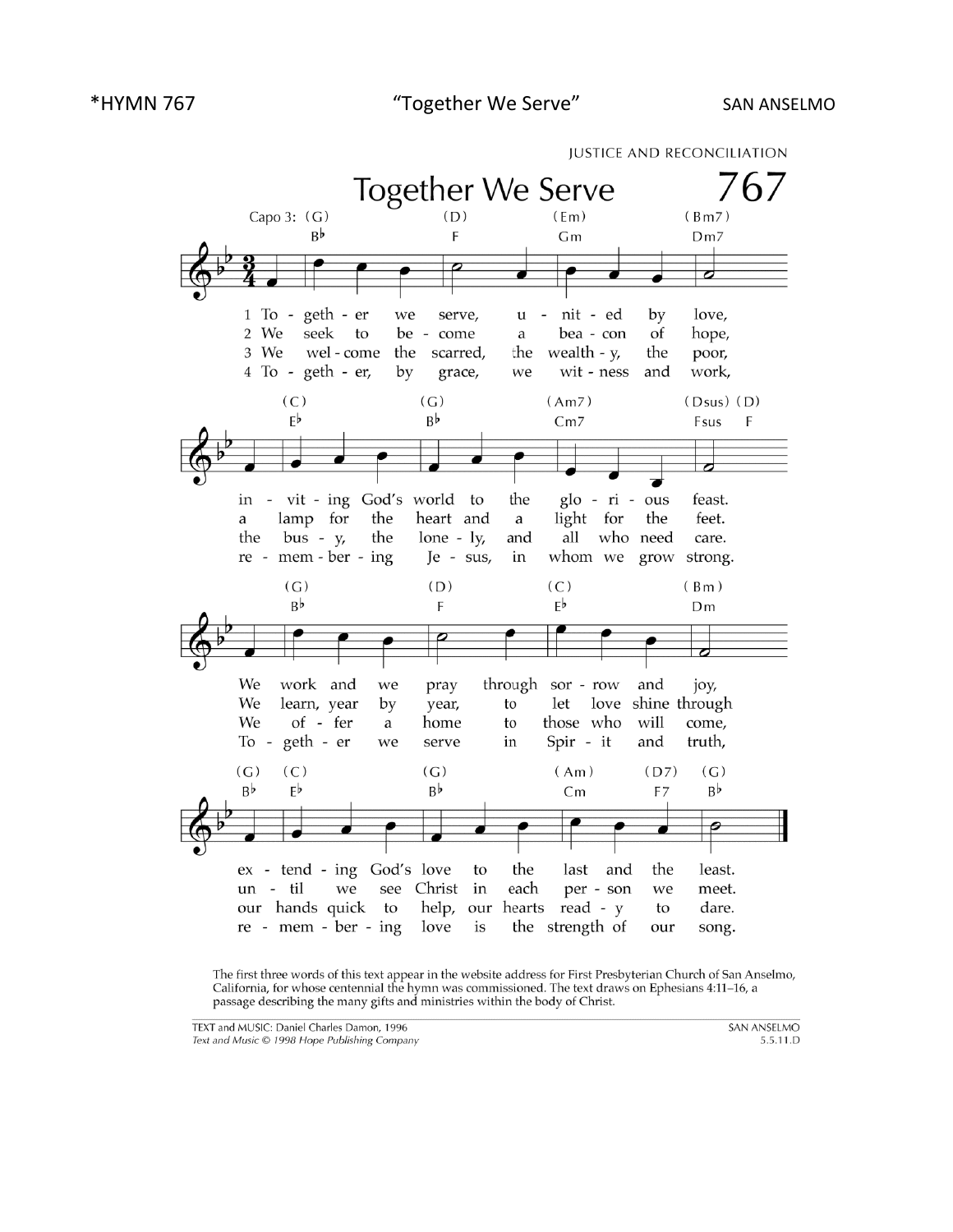**SAN ANSELMO** 

**JUSTICE AND RECONCILIATION**  $67$ **Together We Serve** Capo 3:  $(G)$  $(D)$  $E(m)$  $(Bm7)$  $B<sub>p</sub>$  $\mathsf{F}$  $Gm$  $Dm$ 1 To - geth - er nit - ed by love, we serve,  $\mathfrak u$  $\sim$ 2 We seek  $\mathbf{t}$ be - come bea - con of a hope, 3 We wel - come the scarred, wealth -  $y$ , the the poor,  $4$  To - geth - er, wit - ness by grace, we and work,  $(C)$  $(G)$  $(Am7)$  $(Dsus)$   $(D)$ Eb  $B<sub>b</sub>$  $Cm<sub>7</sub>$ Fsus  $\mathsf{F}$ ⇁ in - vit - ing God's world to the  $g$ lo - ri ous feast. a lamp for the heart and light for the feet. a the lone -  $ly$ , all who need the  $bus - y$ and care.  $re - mem - ber - ing$ in whom we grow Je - sus, strong.  $(G)$  $(D)$  $(C)$  $(Bm)$  $B^{\flat}$  $\mathsf F$  $E^{\flat}$  $Dm$ ┲ We through sor - row work and and we pray joy, We learn, year by year, to let love shine through We of - fer home to those who will come, a To  $\overline{a}$ geth - er serve in Spir - it and truth, we  $(G)$  $(C)$  $(G)$  $(Am)$  $(D7)$  $(G)$  $B<sub>p</sub>$  $B<sub>p</sub>$  $B<sub>p</sub>$  $E^{\flat}$ F7  $Cm$ Ð the ex - tend - ing God's love to last and the least. un - til Christ in each meet. we see per - son we dare. our hands quick to help, our hearts read - y to  $re - mem - ber - ing$ love is the strength of our song.

The first three words of this text appear in the website address for First Presbyterian Church of San Anselmo, California, for whose centennial the hymn was commissioned. The text draws on Ephesians 4:11-16, a passage describing the many gifts and ministries within the body of Christ.